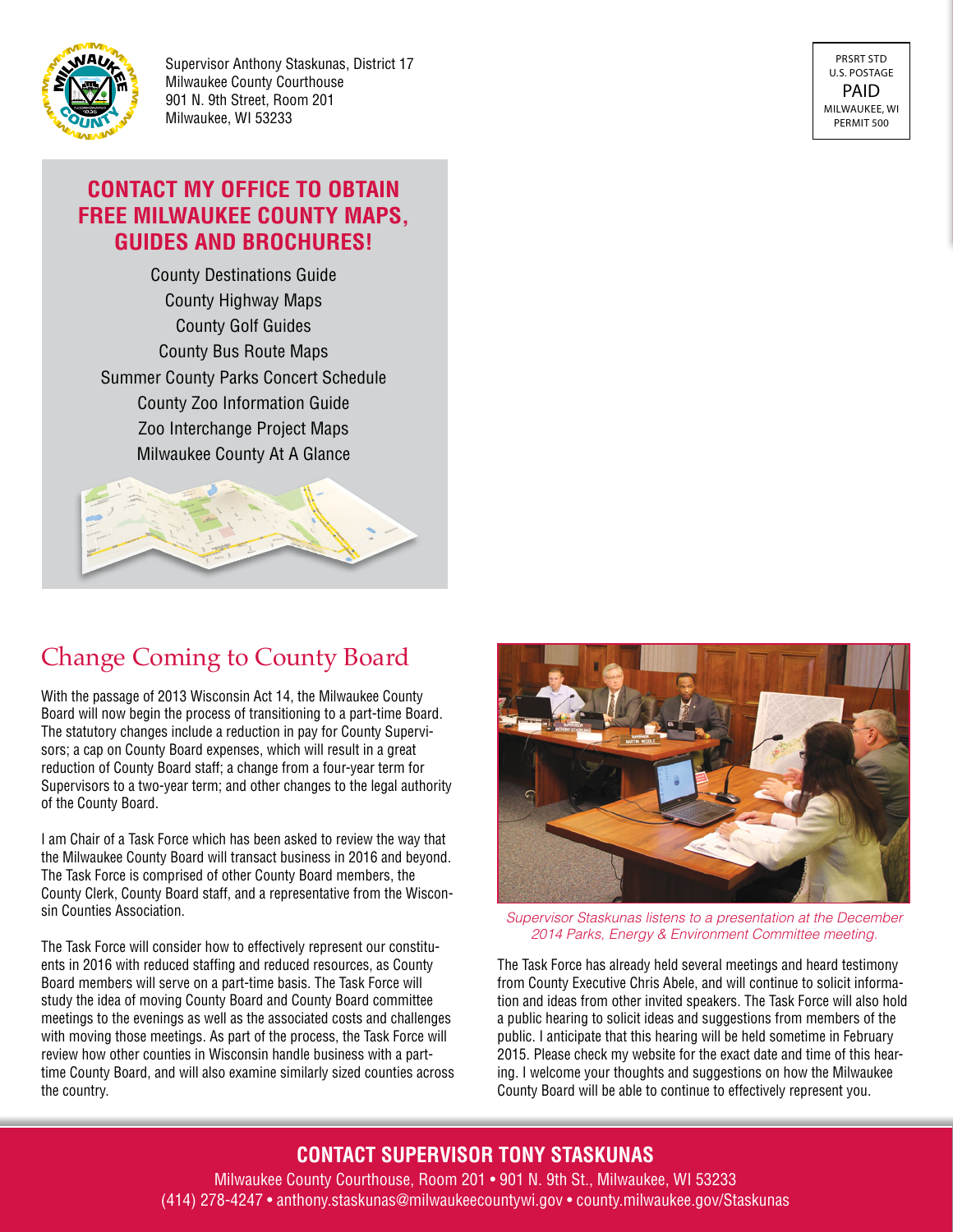

Supervisor Anthony Staskunas, District 17 Milwaukee County Courthouse 901 N. 9th Street, Room 201 Milwaukee, WI 53233

PRSRT STD U.S. POSTAGE PAID MILWAUKEE, WI PERMIT 500

#### **CONTACT MY OFFICE TO OBTAIN FREE MILWAUKEE COUNTY MAPS, GUIDES AND BROCHURES!**

County Destinations Guide County Highway Maps County Golf Guides County Bus Route Maps Summer County Parks Concert Schedule County Zoo Information Guide Zoo Interchange Project Maps Milwaukee County At A Glance



# Change Coming to County Board

With the passage of 2013 Wisconsin Act 14, the Milwaukee County Board will now begin the process of transitioning to a part-time Board. The statutory changes include a reduction in pay for County Supervisors; a cap on County Board expenses, which will result in a great reduction of County Board staff; a change from a four-year term for Supervisors to a two-year term; and other changes to the legal authority of the County Board.

I am Chair of a Task Force which has been asked to review the way that the Milwaukee County Board will transact business in 2016 and beyond. The Task Force is comprised of other County Board members, the County Clerk, County Board staff, and a representative from the Wisconsin Counties Association.

The Task Force will consider how to effectively represent our constituents in 2016 with reduced staffing and reduced resources, as County Board members will serve on a part-time basis. The Task Force will study the idea of moving County Board and County Board committee meetings to the evenings as well as the associated costs and challenges with moving those meetings. As part of the process, the Task Force will review how other counties in Wisconsin handle business with a parttime County Board, and will also examine similarly sized counties across the country.



*Supervisor Staskunas listens to a presentation at the December 2014 Parks, Energy & Environment Committee meeting.*

The Task Force has already held several meetings and heard testimony from County Executive Chris Abele, and will continue to solicit information and ideas from other invited speakers. The Task Force will also hold a public hearing to solicit ideas and suggestions from members of the public. I anticipate that this hearing will be held sometime in February 2015. Please check my website for the exact date and time of this hearing. I welcome your thoughts and suggestions on how the Milwaukee County Board will be able to continue to effectively represent you.

#### **CONTACT SUPERVISOR TONY STASKUNAS**

Milwaukee County Courthouse, Room 201 • 901 N. 9th St., Milwaukee, WI 53233 (414) 278-4247 • anthony.staskunas@milwaukeecountywi.gov • county.milwaukee.gov/Staskunas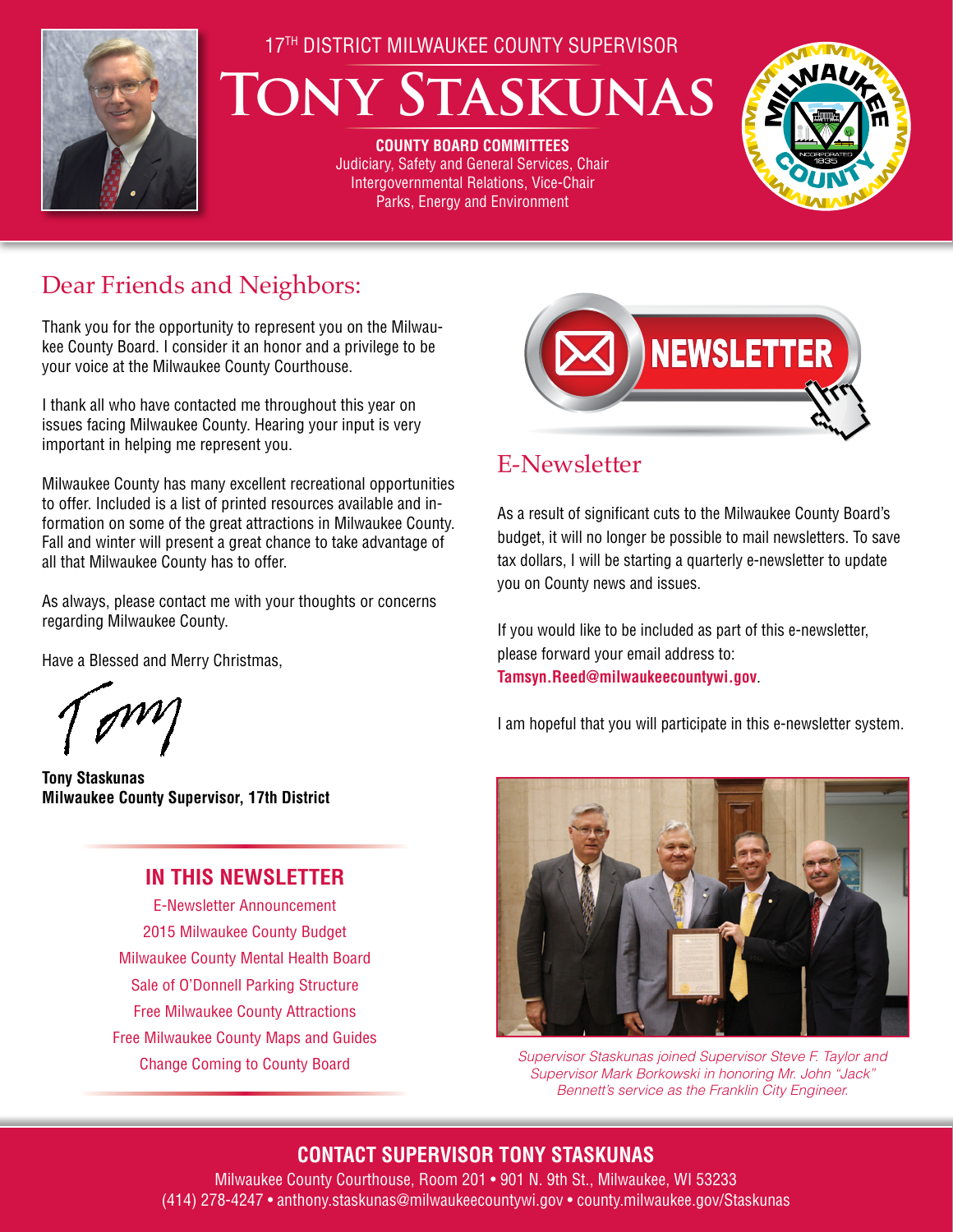

#### 17TH DISTRICT MILWAUKEE COUNTY SUPERVISOR

# **Tony Staskunas**

**COUNTY BOARD COMMITTEES** Judiciary, Safety and General Services, Chair Intergovernmental Relations, Vice-Chair Parks, Energy and Environment



# Dear Friends and Neighbors:

Thank you for the opportunity to represent you on the Milwaukee County Board. I consider it an honor and a privilege to be your voice at the Milwaukee County Courthouse.

I thank all who have contacted me throughout this year on issues facing Milwaukee County. Hearing your input is very important in helping me represent you.

Milwaukee County has many excellent recreational opportunities to offer. Included is a list of printed resources available and information on some of the great attractions in Milwaukee County. Fall and winter will present a great chance to take advantage of all that Milwaukee County has to offer.

As always, please contact me with your thoughts or concerns regarding Milwaukee County.

Have a Blessed and Merry Christmas,

**Tony Staskunas Milwaukee County Supervisor, 17th District**

#### **IN THIS NEWSLETTER**

E-Newsletter Announcement 2015 Milwaukee County Budget Milwaukee County Mental Health Board Sale of O'Donnell Parking Structure Free Milwaukee County Attractions Free Milwaukee County Maps and Guides Change Coming to County Board



# E-Newsletter

As a result of significant cuts to the Milwaukee County Board's budget, it will no longer be possible to mail newsletters. To save tax dollars, I will be starting a quarterly e-newsletter to update you on County news and issues.

If you would like to be included as part of this e-newsletter, please forward your email address to: **Tamsyn.Reed@milwaukeecountywi.gov**.

I am hopeful that you will participate in this e-newsletter system.



*Supervisor Staskunas joined Supervisor Steve F. Taylor and Supervisor Mark Borkowski in honoring Mr. John "Jack" Bennett's service as the Franklin City Engineer.*

### **CONTACT SUPERVISOR TONY STASKUNAS**

Milwaukee County Courthouse, Room 201 • 901 N. 9th St., Milwaukee, WI 53233 (414) 278-4247 • anthony.staskunas@milwaukeecountywi.gov • county.milwaukee.gov/Staskunas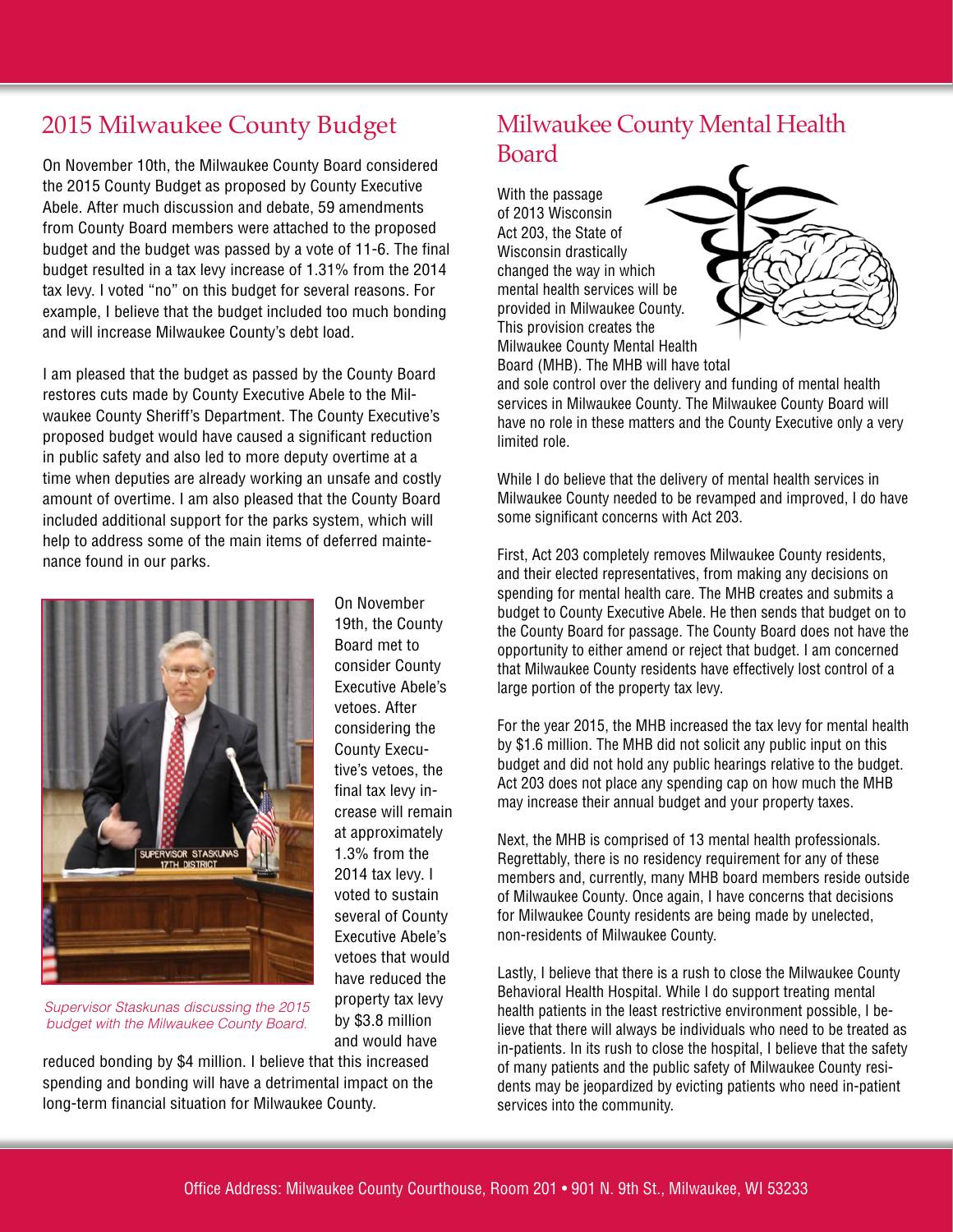On November 10th, the Milwaukee County Board considered the 2015 County Budget as proposed by County Executive Abele. After much discussion and debate, 59 amendments from County Board members were attached to the proposed budget and the budget was passed by a vote of 11-6. The final budget resulted in a tax levy increase of 1.31% from the 2014 tax levy. I voted "no" on this budget for several reasons. For example, I believe that the budget included too much bonding and will increase Milwaukee County's debt load.

I am pleased that the budget as passed by the County Board restores cuts made by County Executive Abele to the Milwaukee County Sheriff's Department. The County Executive's proposed budget would have caused a significant reduction in public safety and also led to more deputy overtime at a time when deputies are already working an unsafe and costly amount of overtime. I am also pleased that the County Board included additional support for the parks system, which will help to address some of the main items of deferred maintenance found in our parks.



On November 19th, the County Board met to consider County Executive Abele's vetoes. After considering the County Executive's vetoes, the final tax levy increase will remain at approximately 1.3% from the 2014 tax levy. I voted to sustain several of County Executive Abele's vetoes that would have reduced the property tax levy by \$3.8 million and would have

*Supervisor Staskunas discussing the 2015 budget with the Milwaukee County Board.*

reduced bonding by \$4 million. I believe that this increased spending and bonding will have a detrimental impact on the long-term financial situation for Milwaukee County.

## 2015 Milwaukee County Budget Milwaukee County Mental Health Board

With the passage of 2013 Wisconsin Act 203, the State of Wisconsin drastically changed the way in which mental health services will be provided in Milwaukee County. This provision creates the Milwaukee County Mental Health Board (MHB). The MHB will have total



and sole control over the delivery and funding of mental health services in Milwaukee County. The Milwaukee County Board will have no role in these matters and the County Executive only a very limited role.

While I do believe that the delivery of mental health services in Milwaukee County needed to be revamped and improved, I do have some significant concerns with Act 203.

First, Act 203 completely removes Milwaukee County residents, and their elected representatives, from making any decisions on spending for mental health care. The MHB creates and submits a budget to County Executive Abele. He then sends that budget on to the County Board for passage. The County Board does not have the opportunity to either amend or reject that budget. I am concerned that Milwaukee County residents have effectively lost control of a large portion of the property tax levy.

For the year 2015, the MHB increased the tax levy for mental health by \$1.6 million. The MHB did not solicit any public input on this budget and did not hold any public hearings relative to the budget. Act 203 does not place any spending cap on how much the MHB may increase their annual budget and your property taxes.

Next, the MHB is comprised of 13 mental health professionals. Regrettably, there is no residency requirement for any of these members and, currently, many MHB board members reside outside of Milwaukee County. Once again, I have concerns that decisions for Milwaukee County residents are being made by unelected, non-residents of Milwaukee County.

Lastly, I believe that there is a rush to close the Milwaukee County Behavioral Health Hospital. While I do support treating mental health patients in the least restrictive environment possible, I believe that there will always be individuals who need to be treated as in-patients. In its rush to close the hospital, I believe that the safety of many patients and the public safety of Milwaukee County residents may be jeopardized by evicting patients who need in-patient services into the community.